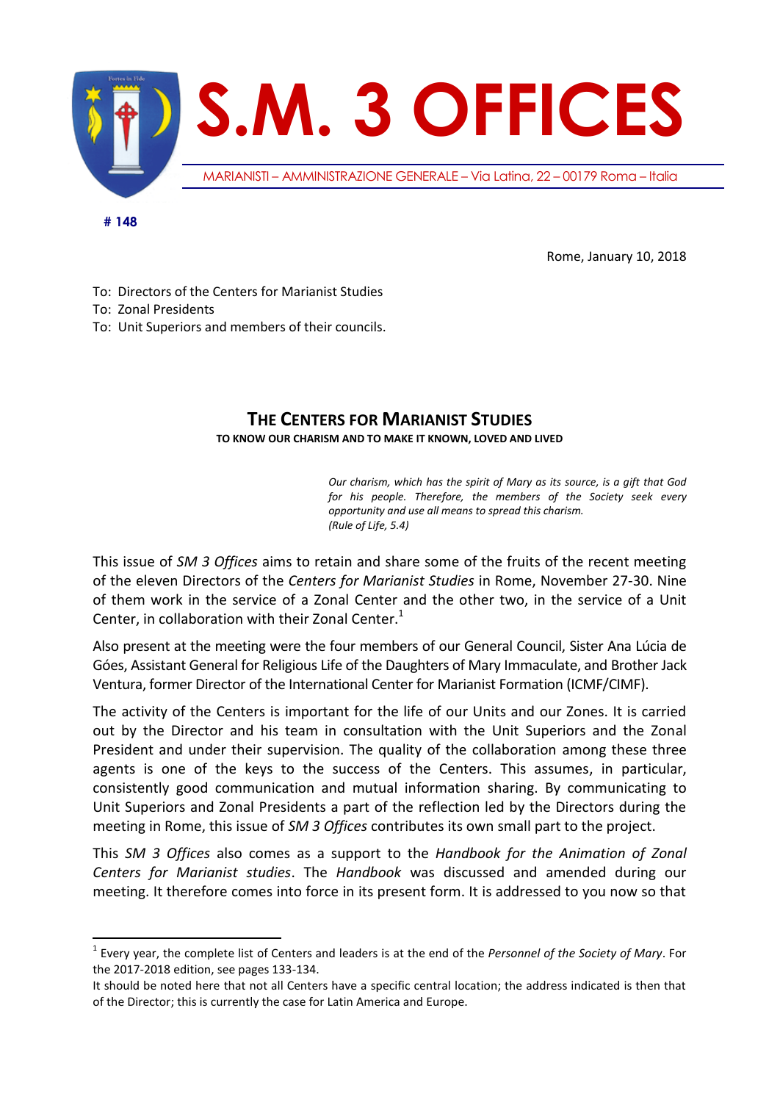

Rome, January 10, 2018

To: Directors of the Centers for Marianist Studies To: Zonal Presidents

To: Unit Superiors and members of their councils.

 $\overline{a}$ 

## **THE CENTERS FOR MARIANIST STUDIES**

**TO KNOW OUR CHARISM AND TO MAKE IT KNOWN, LOVED AND LIVED**

*Our charism, which has the spirit of Mary as its source, is a gift that God for his people. Therefore, the members of the Society seek every opportunity and use all means to spread this charism. (Rule of Life, 5.4)*

This issue of *SM 3 Offices* aims to retain and share some of the fruits of the recent meeting of the eleven Directors of the *Centers for Marianist Studies* in Rome, November 27-30. Nine of them work in the service of a Zonal Center and the other two, in the service of a Unit Center, in collaboration with their Zonal Center. $<sup>1</sup>$ </sup>

Also present at the meeting were the four members of our General Council, Sister Ana Lúcia de Góes, Assistant General for Religious Life of the Daughters of Mary Immaculate, and Brother Jack Ventura, former Director of the International Center for Marianist Formation (ICMF/CIMF).

The activity of the Centers is important for the life of our Units and our Zones. It is carried out by the Director and his team in consultation with the Unit Superiors and the Zonal President and under their supervision. The quality of the collaboration among these three agents is one of the keys to the success of the Centers. This assumes, in particular, consistently good communication and mutual information sharing. By communicating to Unit Superiors and Zonal Presidents a part of the reflection led by the Directors during the meeting in Rome, this issue of *SM 3 Offices* contributes its own small part to the project.

This *SM 3 Offices* also comes as a support to the *Handbook for the Animation of Zonal Centers for Marianist studies*. The *Handbook* was discussed and amended during our meeting. It therefore comes into force in its present form. It is addressed to you now so that

<sup>1</sup> Every year, the complete list of Centers and leaders is at the end of the *Personnel of the Society of Mary*. For the 2017-2018 edition, see pages 133-134.

It should be noted here that not all Centers have a specific central location; the address indicated is then that of the Director; this is currently the case for Latin America and Europe.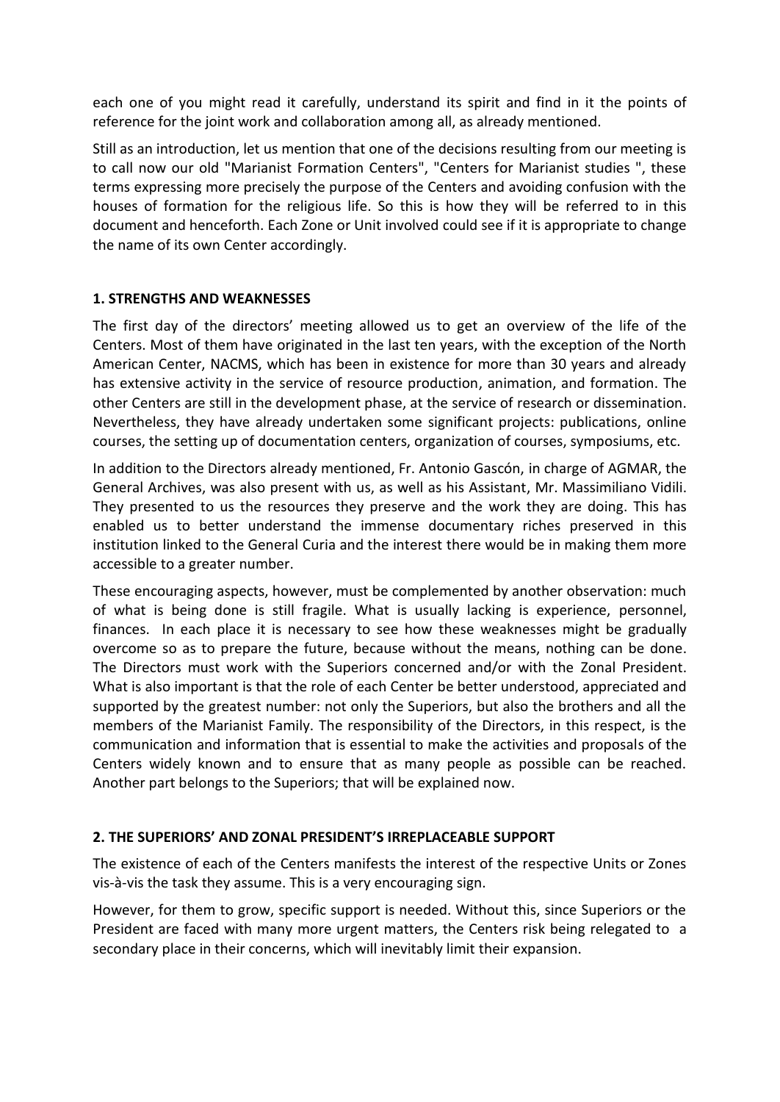each one of you might read it carefully, understand its spirit and find in it the points of reference for the joint work and collaboration among all, as already mentioned.

Still as an introduction, let us mention that one of the decisions resulting from our meeting is to call now our old "Marianist Formation Centers", "Centers for Marianist studies ", these terms expressing more precisely the purpose of the Centers and avoiding confusion with the houses of formation for the religious life. So this is how they will be referred to in this document and henceforth. Each Zone or Unit involved could see if it is appropriate to change the name of its own Center accordingly.

## **1. STRENGTHS AND WEAKNESSES**

The first day of the directors' meeting allowed us to get an overview of the life of the Centers. Most of them have originated in the last ten years, with the exception of the North American Center, NACMS, which has been in existence for more than 30 years and already has extensive activity in the service of resource production, animation, and formation. The other Centers are still in the development phase, at the service of research or dissemination. Nevertheless, they have already undertaken some significant projects: publications, online courses, the setting up of documentation centers, organization of courses, symposiums, etc.

In addition to the Directors already mentioned, Fr. Antonio Gascón, in charge of AGMAR, the General Archives, was also present with us, as well as his Assistant, Mr. Massimiliano Vidili. They presented to us the resources they preserve and the work they are doing. This has enabled us to better understand the immense documentary riches preserved in this institution linked to the General Curia and the interest there would be in making them more accessible to a greater number.

These encouraging aspects, however, must be complemented by another observation: much of what is being done is still fragile. What is usually lacking is experience, personnel, finances. In each place it is necessary to see how these weaknesses might be gradually overcome so as to prepare the future, because without the means, nothing can be done. The Directors must work with the Superiors concerned and/or with the Zonal President. What is also important is that the role of each Center be better understood, appreciated and supported by the greatest number: not only the Superiors, but also the brothers and all the members of the Marianist Family. The responsibility of the Directors, in this respect, is the communication and information that is essential to make the activities and proposals of the Centers widely known and to ensure that as many people as possible can be reached. Another part belongs to the Superiors; that will be explained now.

## **2. THE SUPERIORS' AND ZONAL PRESIDENT'S IRREPLACEABLE SUPPORT**

The existence of each of the Centers manifests the interest of the respective Units or Zones vis-à-vis the task they assume. This is a very encouraging sign.

However, for them to grow, specific support is needed. Without this, since Superiors or the President are faced with many more urgent matters, the Centers risk being relegated to a secondary place in their concerns, which will inevitably limit their expansion.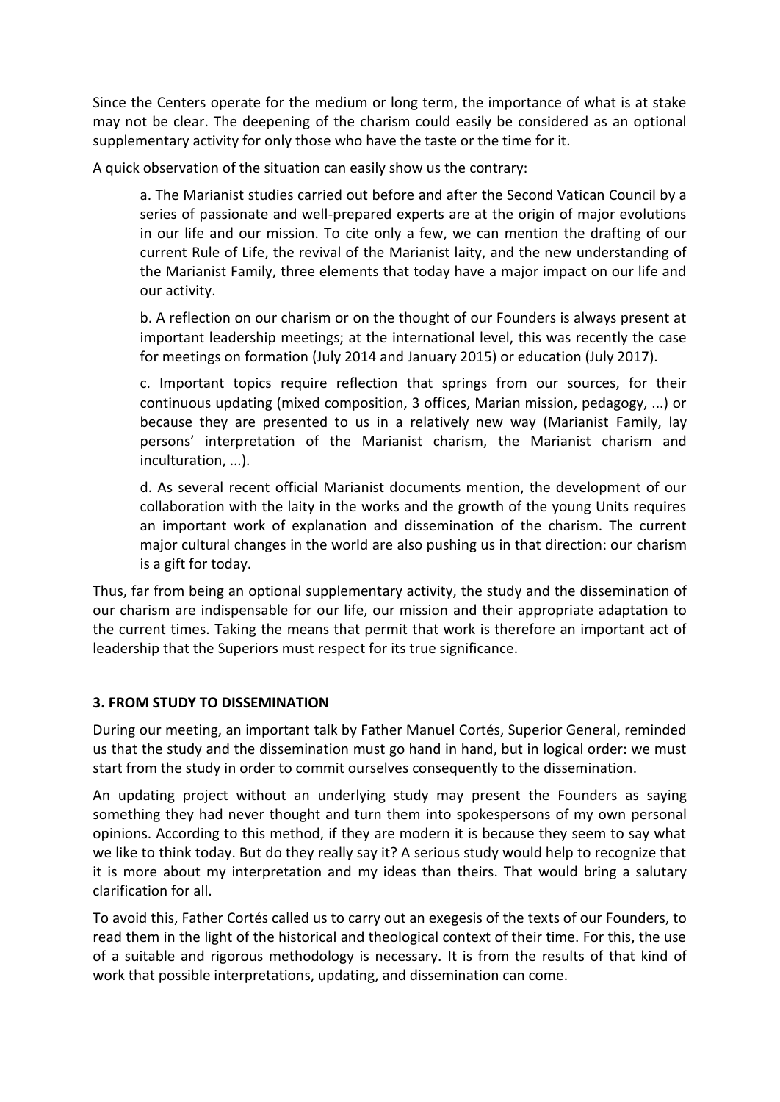Since the Centers operate for the medium or long term, the importance of what is at stake may not be clear. The deepening of the charism could easily be considered as an optional supplementary activity for only those who have the taste or the time for it.

A quick observation of the situation can easily show us the contrary:

a. The Marianist studies carried out before and after the Second Vatican Council by a series of passionate and well-prepared experts are at the origin of major evolutions in our life and our mission. To cite only a few, we can mention the drafting of our current Rule of Life, the revival of the Marianist laity, and the new understanding of the Marianist Family, three elements that today have a major impact on our life and our activity.

b. A reflection on our charism or on the thought of our Founders is always present at important leadership meetings; at the international level, this was recently the case for meetings on formation (July 2014 and January 2015) or education (July 2017).

c. Important topics require reflection that springs from our sources, for their continuous updating (mixed composition, 3 offices, Marian mission, pedagogy, ...) or because they are presented to us in a relatively new way (Marianist Family, lay persons' interpretation of the Marianist charism, the Marianist charism and inculturation, ...).

d. As several recent official Marianist documents mention, the development of our collaboration with the laity in the works and the growth of the young Units requires an important work of explanation and dissemination of the charism. The current major cultural changes in the world are also pushing us in that direction: our charism is a gift for today.

Thus, far from being an optional supplementary activity, the study and the dissemination of our charism are indispensable for our life, our mission and their appropriate adaptation to the current times. Taking the means that permit that work is therefore an important act of leadership that the Superiors must respect for its true significance.

## **3. FROM STUDY TO DISSEMINATION**

During our meeting, an important talk by Father Manuel Cortés, Superior General, reminded us that the study and the dissemination must go hand in hand, but in logical order: we must start from the study in order to commit ourselves consequently to the dissemination.

An updating project without an underlying study may present the Founders as saying something they had never thought and turn them into spokespersons of my own personal opinions. According to this method, if they are modern it is because they seem to say what we like to think today. But do they really say it? A serious study would help to recognize that it is more about my interpretation and my ideas than theirs. That would bring a salutary clarification for all.

To avoid this, Father Cortés called us to carry out an exegesis of the texts of our Founders, to read them in the light of the historical and theological context of their time. For this, the use of a suitable and rigorous methodology is necessary. It is from the results of that kind of work that possible interpretations, updating, and dissemination can come.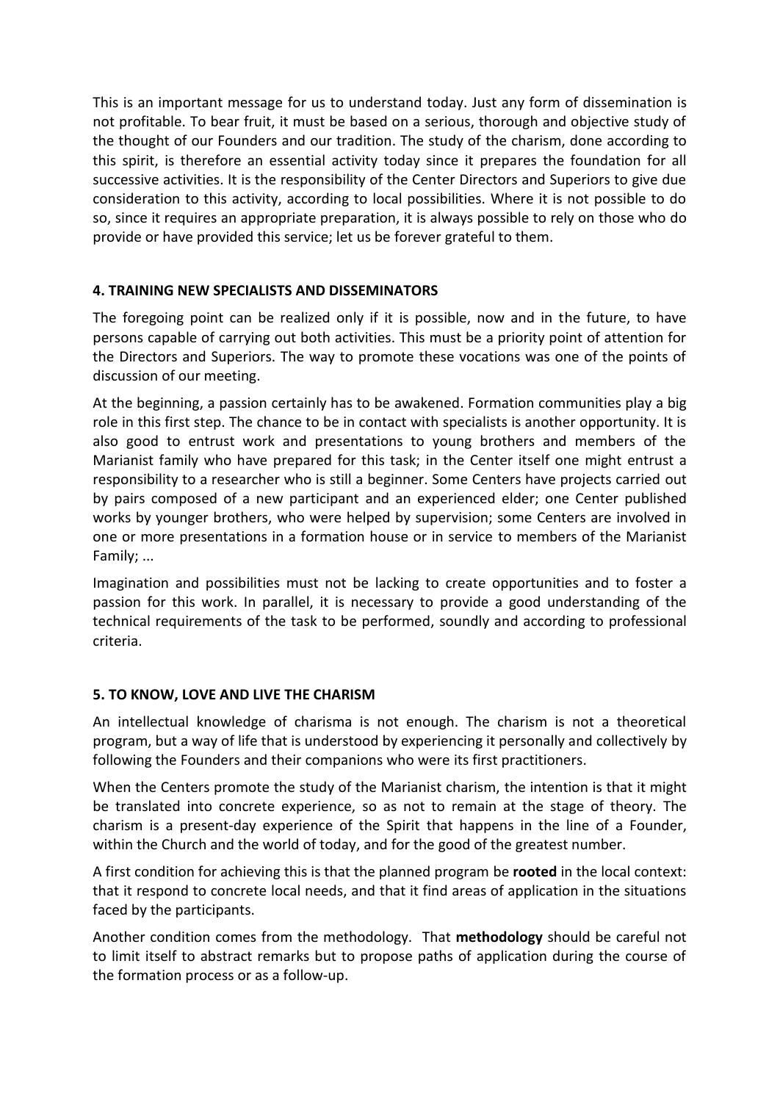This is an important message for us to understand today. Just any form of dissemination is not profitable. To bear fruit, it must be based on a serious, thorough and objective study of the thought of our Founders and our tradition. The study of the charism, done according to this spirit, is therefore an essential activity today since it prepares the foundation for all successive activities. It is the responsibility of the Center Directors and Superiors to give due consideration to this activity, according to local possibilities. Where it is not possible to do so, since it requires an appropriate preparation, it is always possible to rely on those who do provide or have provided this service; let us be forever grateful to them.

## **4. TRAINING NEW SPECIALISTS AND DISSEMINATORS**

The foregoing point can be realized only if it is possible, now and in the future, to have persons capable of carrying out both activities. This must be a priority point of attention for the Directors and Superiors. The way to promote these vocations was one of the points of discussion of our meeting.

At the beginning, a passion certainly has to be awakened. Formation communities play a big role in this first step. The chance to be in contact with specialists is another opportunity. It is also good to entrust work and presentations to young brothers and members of the Marianist family who have prepared for this task; in the Center itself one might entrust a responsibility to a researcher who is still a beginner. Some Centers have projects carried out by pairs composed of a new participant and an experienced elder; one Center published works by younger brothers, who were helped by supervision; some Centers are involved in one or more presentations in a formation house or in service to members of the Marianist Family; ...

Imagination and possibilities must not be lacking to create opportunities and to foster a passion for this work. In parallel, it is necessary to provide a good understanding of the technical requirements of the task to be performed, soundly and according to professional criteria.

## **5. TO KNOW, LOVE AND LIVE THE CHARISM**

An intellectual knowledge of charisma is not enough. The charism is not a theoretical program, but a way of life that is understood by experiencing it personally and collectively by following the Founders and their companions who were its first practitioners.

When the Centers promote the study of the Marianist charism, the intention is that it might be translated into concrete experience, so as not to remain at the stage of theory. The charism is a present-day experience of the Spirit that happens in the line of a Founder, within the Church and the world of today, and for the good of the greatest number.

A first condition for achieving this is that the planned program be **rooted** in the local context: that it respond to concrete local needs, and that it find areas of application in the situations faced by the participants.

Another condition comes from the methodology. That **methodology** should be careful not to limit itself to abstract remarks but to propose paths of application during the course of the formation process or as a follow-up.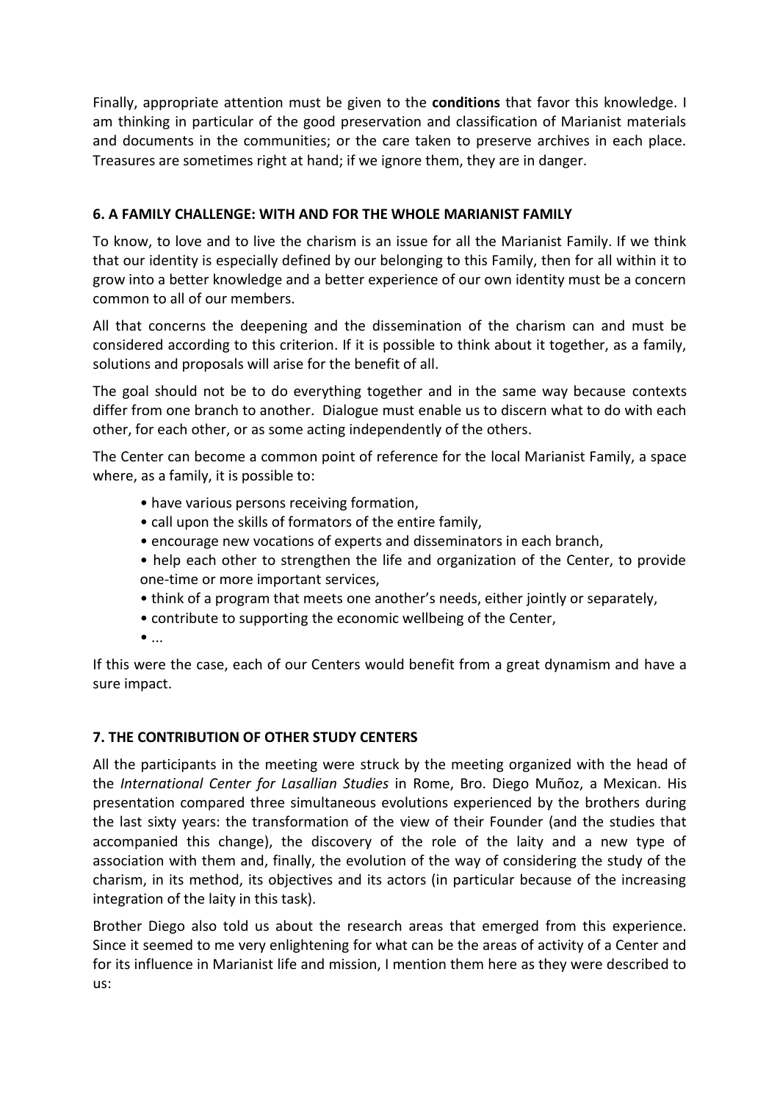Finally, appropriate attention must be given to the **conditions** that favor this knowledge. I am thinking in particular of the good preservation and classification of Marianist materials and documents in the communities; or the care taken to preserve archives in each place. Treasures are sometimes right at hand; if we ignore them, they are in danger.

## **6. A FAMILY CHALLENGE: WITH AND FOR THE WHOLE MARIANIST FAMILY**

To know, to love and to live the charism is an issue for all the Marianist Family. If we think that our identity is especially defined by our belonging to this Family, then for all within it to grow into a better knowledge and a better experience of our own identity must be a concern common to all of our members.

All that concerns the deepening and the dissemination of the charism can and must be considered according to this criterion. If it is possible to think about it together, as a family, solutions and proposals will arise for the benefit of all.

The goal should not be to do everything together and in the same way because contexts differ from one branch to another. Dialogue must enable us to discern what to do with each other, for each other, or as some acting independently of the others.

The Center can become a common point of reference for the local Marianist Family, a space where, as a family, it is possible to:

- have various persons receiving formation,
- call upon the skills of formators of the entire family,
- encourage new vocations of experts and disseminators in each branch,
- help each other to strengthen the life and organization of the Center, to provide one-time or more important services,
- think of a program that meets one another's needs, either jointly or separately,
- contribute to supporting the economic wellbeing of the Center,
- $\bullet$  ...

If this were the case, each of our Centers would benefit from a great dynamism and have a sure impact.

## **7. THE CONTRIBUTION OF OTHER STUDY CENTERS**

All the participants in the meeting were struck by the meeting organized with the head of the *International Center for Lasallian Studies* in Rome, Bro. Diego Muñoz, a Mexican. His presentation compared three simultaneous evolutions experienced by the brothers during the last sixty years: the transformation of the view of their Founder (and the studies that accompanied this change), the discovery of the role of the laity and a new type of association with them and, finally, the evolution of the way of considering the study of the charism, in its method, its objectives and its actors (in particular because of the increasing integration of the laity in this task).

Brother Diego also told us about the research areas that emerged from this experience. Since it seemed to me very enlightening for what can be the areas of activity of a Center and for its influence in Marianist life and mission, I mention them here as they were described to us: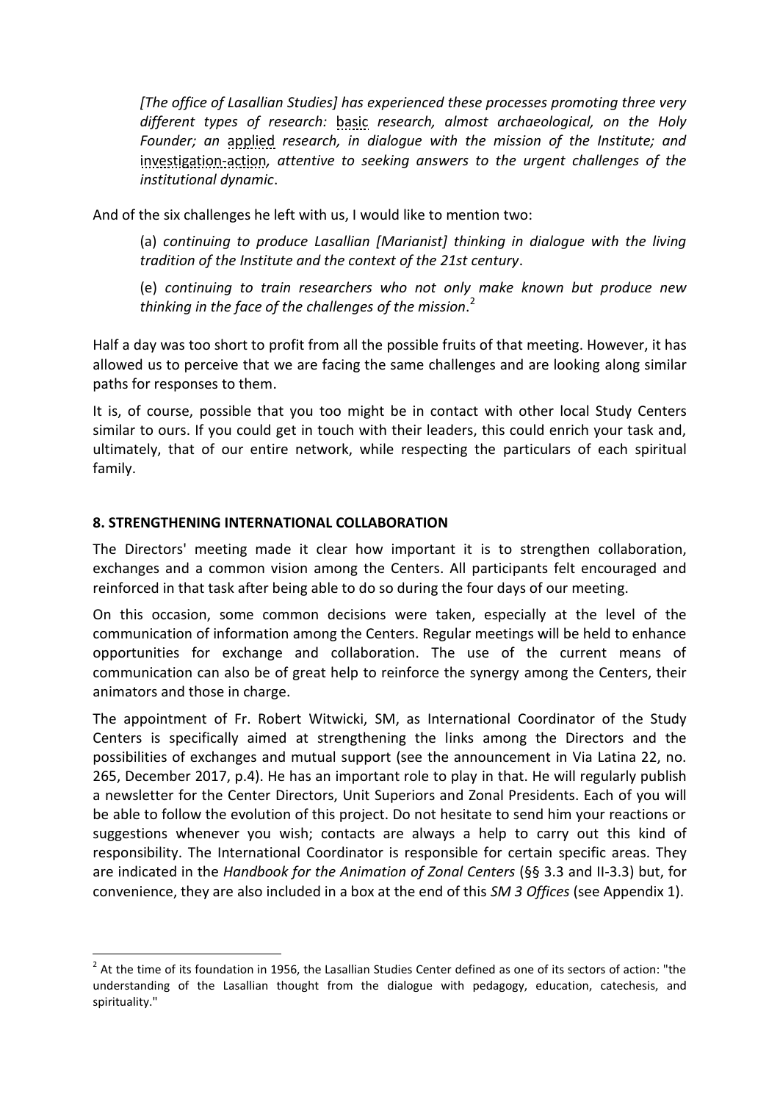*[The office of Lasallian Studies] has experienced these processes promoting three very different types of research:* basic *research, almost archaeological, on the Holy Founder; an* applied *research, in dialogue with the mission of the Institute; and*  investigation-action*, attentive to seeking answers to the urgent challenges of the institutional dynamic*.

And of the six challenges he left with us, I would like to mention two:

(a) *continuing to produce Lasallian [Marianist] thinking in dialogue with the living tradition of the Institute and the context of the 21st century*.

(e) *continuing to train researchers who not only make known but produce new thinking in the face of the challenges of the mission*. 2

Half a day was too short to profit from all the possible fruits of that meeting. However, it has allowed us to perceive that we are facing the same challenges and are looking along similar paths for responses to them.

It is, of course, possible that you too might be in contact with other local Study Centers similar to ours. If you could get in touch with their leaders, this could enrich your task and, ultimately, that of our entire network, while respecting the particulars of each spiritual family.

#### **8. STRENGTHENING INTERNATIONAL COLLABORATION**

 $\overline{\phantom{a}}$ 

The Directors' meeting made it clear how important it is to strengthen collaboration, exchanges and a common vision among the Centers. All participants felt encouraged and reinforced in that task after being able to do so during the four days of our meeting.

On this occasion, some common decisions were taken, especially at the level of the communication of information among the Centers. Regular meetings will be held to enhance opportunities for exchange and collaboration. The use of the current means of communication can also be of great help to reinforce the synergy among the Centers, their animators and those in charge.

The appointment of Fr. Robert Witwicki, SM, as International Coordinator of the Study Centers is specifically aimed at strengthening the links among the Directors and the possibilities of exchanges and mutual support (see the announcement in Via Latina 22, no. 265, December 2017, p.4). He has an important role to play in that. He will regularly publish a newsletter for the Center Directors, Unit Superiors and Zonal Presidents. Each of you will be able to follow the evolution of this project. Do not hesitate to send him your reactions or suggestions whenever you wish; contacts are always a help to carry out this kind of responsibility. The International Coordinator is responsible for certain specific areas. They are indicated in the *Handbook for the Animation of Zonal Centers* (§§ 3.3 and II-3.3) but, for convenience, they are also included in a box at the end of this *SM 3 Offices* (see Appendix 1).

 $2^{2}$  At the time of its foundation in 1956, the Lasallian Studies Center defined as one of its sectors of action: "the understanding of the Lasallian thought from the dialogue with pedagogy, education, catechesis, and spirituality."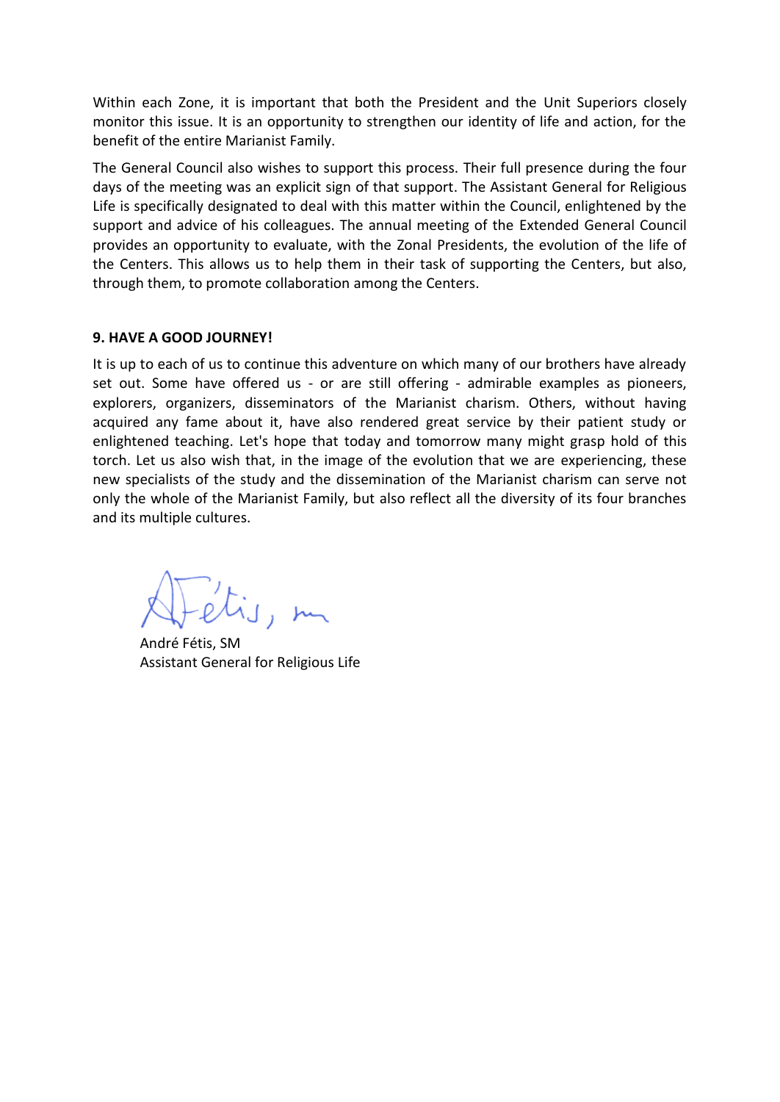Within each Zone, it is important that both the President and the Unit Superiors closely monitor this issue. It is an opportunity to strengthen our identity of life and action, for the benefit of the entire Marianist Family.

The General Council also wishes to support this process. Their full presence during the four days of the meeting was an explicit sign of that support. The Assistant General for Religious Life is specifically designated to deal with this matter within the Council, enlightened by the support and advice of his colleagues. The annual meeting of the Extended General Council provides an opportunity to evaluate, with the Zonal Presidents, the evolution of the life of the Centers. This allows us to help them in their task of supporting the Centers, but also, through them, to promote collaboration among the Centers.

#### **9. HAVE A GOOD JOURNEY!**

It is up to each of us to continue this adventure on which many of our brothers have already set out. Some have offered us - or are still offering - admirable examples as pioneers, explorers, organizers, disseminators of the Marianist charism. Others, without having acquired any fame about it, have also rendered great service by their patient study or enlightened teaching. Let's hope that today and tomorrow many might grasp hold of this torch. Let us also wish that, in the image of the evolution that we are experiencing, these new specialists of the study and the dissemination of the Marianist charism can serve not only the whole of the Marianist Family, but also reflect all the diversity of its four branches and its multiple cultures.

André Fétis, SM Assistant General for Religious Life